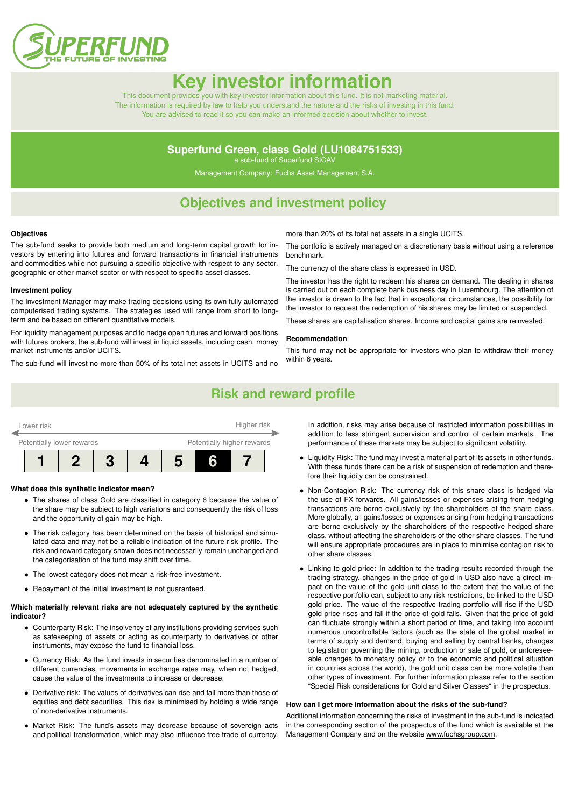

# **Key investor informat**

This document provides you with key investor information about this fund. It is not marketing material. The information is required by law to help you understand the nature and the risks of investing in this fund. You are advised to read it so you can make an informed decision about whether to invest.

### **Superfund Green, class Gold (LU1084751533)**

a sub-fund of Superfund SICAV

Management Company: Fuchs Asset Management S.A.

### **Objectives and investment policy**

#### **Objectives**

The sub-fund seeks to provide both medium and long-term capital growth for investors by entering into futures and forward transactions in financial instruments and commodities while not pursuing a specific objective with respect to any sector, geographic or other market sector or with respect to specific asset classes.

#### **Investment policy**

The Investment Manager may make trading decisions using its own fully automated computerised trading systems. The strategies used will range from short to longterm and be based on different quantitative models.

For liquidity management purposes and to hedge open futures and forward positions with futures brokers, the sub-fund will invest in liquid assets, including cash, money market instruments and/or UCITS.

The sub-fund will invest no more than 50% of its total net assets in UCITS and no

more than 20% of its total net assets in a single UCITS.

The portfolio is actively managed on a discretionary basis without using a reference benchmark.

The currency of the share class is expressed in USD.

The investor has the right to redeem his shares on demand. The dealing in shares is carried out on each complete bank business day in Luxembourg. The attention of the investor is drawn to the fact that in exceptional circumstances, the possibility for the investor to request the redemption of his shares may be limited or suspended.

These shares are capitalisation shares. Income and capital gains are reinvested.

#### **Recommendation**

This fund may not be appropriate for investors who plan to withdraw their money within 6 years.

### **Risk and reward profile**



#### **What does this synthetic indicator mean?**

- The shares of class Gold are classified in category 6 because the value of the share may be subject to high variations and consequently the risk of loss and the opportunity of gain may be high.
- The risk category has been determined on the basis of historical and simulated data and may not be a reliable indication of the future risk profile. The risk and reward category shown does not necessarily remain unchanged and the categorisation of the fund may shift over time.
- The lowest category does not mean a risk-free investment.
- Repayment of the initial investment is not guaranteed.

#### **Which materially relevant risks are not adequately captured by the synthetic indicator?**

- Counterparty Risk: The insolvency of any institutions providing services such as safekeeping of assets or acting as counterparty to derivatives or other instruments, may expose the fund to financial loss.
- Currency Risk: As the fund invests in securities denominated in a number of different currencies, movements in exchange rates may, when not hedged, cause the value of the investments to increase or decrease.
- Derivative risk: The values of derivatives can rise and fall more than those of equities and debt securities. This risk is minimised by holding a wide range of non-derivative instruments.
- Market Risk: The fund's assets may decrease because of sovereign acts and political transformation, which may also influence free trade of currency.

In addition, risks may arise because of restricted information possibilities in addition to less stringent supervision and control of certain markets. The performance of these markets may be subject to significant volatility.

- Liquidity Risk: The fund may invest a material part of its assets in other funds. With these funds there can be a risk of suspension of redemption and therefore their liquidity can be constrained.
- Non-Contagion Risk: The currency risk of this share class is hedged via the use of FX forwards. All gains/losses or expenses arising from hedging transactions are borne exclusively by the shareholders of the share class. More globally, all gains/losses or expenses arising from hedging transactions are borne exclusively by the shareholders of the respective hedged share class, without affecting the shareholders of the other share classes. The fund will ensure appropriate procedures are in place to minimise contagion risk to other share classes.
- Linking to gold price: In addition to the trading results recorded through the trading strategy, changes in the price of gold in USD also have a direct impact on the value of the gold unit class to the extent that the value of the respective portfolio can, subject to any risk restrictions, be linked to the USD gold price. The value of the respective trading portfolio will rise if the USD gold price rises and fall if the price of gold falls. Given that the price of gold can fluctuate strongly within a short period of time, and taking into account numerous uncontrollable factors (such as the state of the global market in terms of supply and demand, buying and selling by central banks, changes to legislation governing the mining, production or sale of gold, or unforeseeable changes to monetary policy or to the economic and political situation in countries across the world), the gold unit class can be more volatile than other types of investment. For further information please refer to the section "Special Risk considerations for Gold and Silver Classes" in the prospectus.

#### **How can I get more information about the risks of the sub-fund?**

Additional information concerning the risks of investment in the sub-fund is indicated in the corresponding section of the prospectus of the fund which is available at the Management Company and on the website [www.fuchsgroup.com.](http://www.fuchsgroup.com)